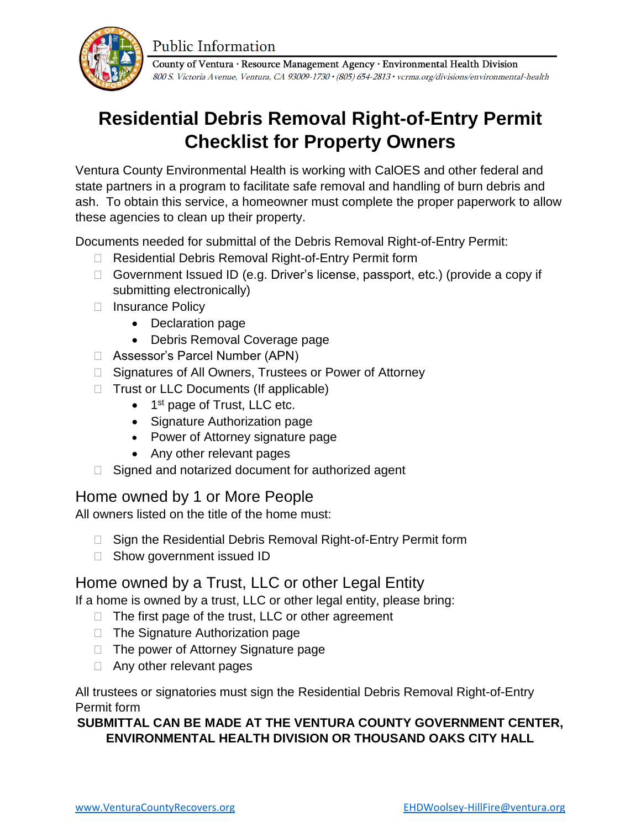**Public Information** 



County of Ventura · Resource Management Agency · Environmental Health Division 800 S. Victoria Avenue, Ventura, CA 93009-1730 • (805) 654-2813 • vcrma.org/divisions/environmental-health

## **Residential Debris Removal Right-of-Entry Permit Checklist for Property Owners**

Ventura County Environmental Health is working with CalOES and other federal and state partners in a program to facilitate safe removal and handling of burn debris and ash. To obtain this service, a homeowner must complete the proper paperwork to allow these agencies to clean up their property.

Documents needed for submittal of the Debris Removal Right-of-Entry Permit:

- □ Residential Debris Removal Right-of-Entry Permit form
- $\Box$  Government Issued ID (e.g. Driver's license, passport, etc.) (provide a copy if submitting electronically)
- □ Insurance Policy
	- Declaration page
	- Debris Removal Coverage page
- Assessor's Parcel Number (APN)
- □ Signatures of All Owners, Trustees or Power of Attorney
- $\Box$  Trust or LLC Documents (If applicable)
	- 1<sup>st</sup> page of Trust, LLC etc.
	- Signature Authorization page
	- Power of Attorney signature page
	- Any other relevant pages
- $\Box$  Signed and notarized document for authorized agent

### Home owned by 1 or More People

All owners listed on the title of the home must:

- □ Sign the Residential Debris Removal Right-of-Entry Permit form
- □ Show government issued ID

### Home owned by a Trust, LLC or other Legal Entity

If a home is owned by a trust, LLC or other legal entity, please bring:

- $\Box$  The first page of the trust, LLC or other agreement
- $\Box$  The Signature Authorization page
- $\Box$  The power of Attorney Signature page
- □ Any other relevant pages

All trustees or signatories must sign the Residential Debris Removal Right-of-Entry Permit form

### **SUBMITTAL CAN BE MADE AT THE VENTURA COUNTY GOVERNMENT CENTER, ENVIRONMENTAL HEALTH DIVISION OR THOUSAND OAKS CITY HALL**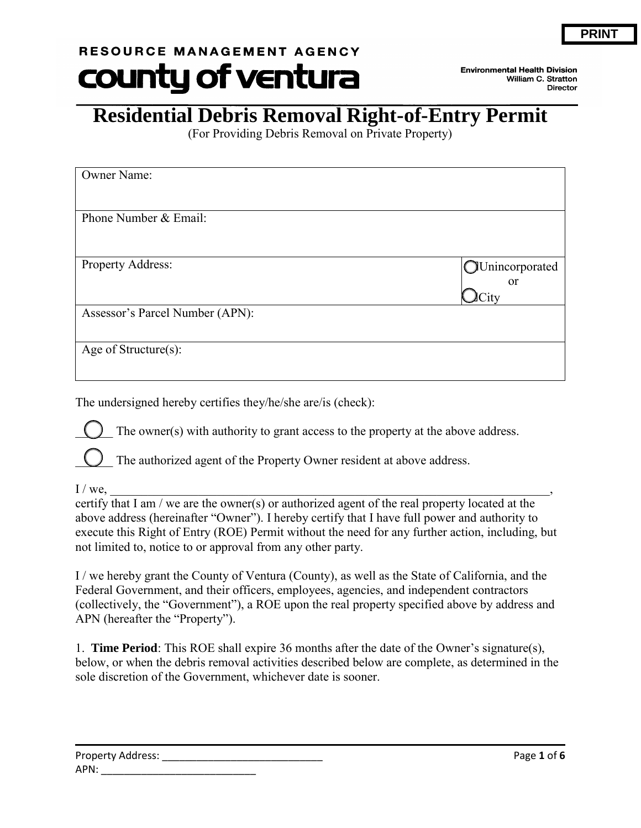# RESOURCE MANAGEMENT AGENCY county of ventura

**Environmental Health Division** William C. Stratton **Director** 

## **Residential Debris Removal Right-of-Entry Permit**

(For Providing Debris Removal on Private Property)

| Owner Name:                     |                                                 |
|---------------------------------|-------------------------------------------------|
| Phone Number & Email:           |                                                 |
| Property Address:               | <b>OUnincorporated</b><br><sub>or</sub><br>City |
| Assessor's Parcel Number (APN): |                                                 |
| Age of Structure(s):            |                                                 |

The undersigned hereby certifies they/he/she are/is (check):

The owner(s) with authority to grant access to the property at the above address.

The authorized agent of the Property Owner resident at above address.

 $I/we, \underline{\hspace{2cm}}$ 

certify that I am / we are the owner(s) or authorized agent of the real property located at the above address (hereinafter "Owner"). I hereby certify that I have full power and authority to execute this Right of Entry (ROE) Permit without the need for any further action, including, but not limited to, notice to or approval from any other party.

I / we hereby grant the County of Ventura (County), as well as the State of California, and the Federal Government, and their officers, employees, agencies, and independent contractors (collectively, the "Government"), a ROE upon the real property specified above by address and APN (hereafter the "Property").

1. **Time Period**: This ROE shall expire 36 months after the date of the Owner's signature(s), below, or when the debris removal activities described below are complete, as determined in the sole discretion of the Government, whichever date is sooner.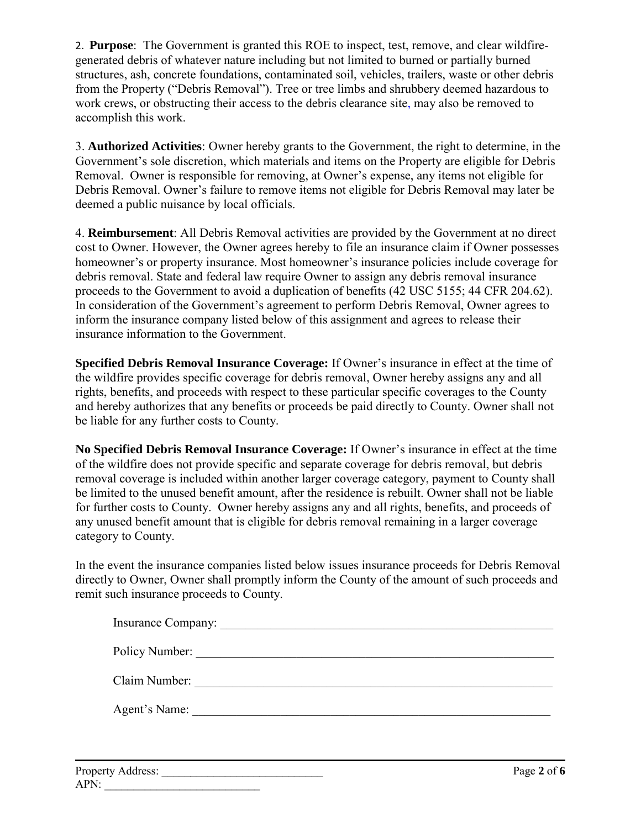2. **Purpose**: The Government is granted this ROE to inspect, test, remove, and clear wildfiregenerated debris of whatever nature including but not limited to burned or partially burned structures, ash, concrete foundations, contaminated soil, vehicles, trailers, waste or other debris from the Property ("Debris Removal"). Tree or tree limbs and shrubbery deemed hazardous to work crews, or obstructing their access to the debris clearance site, may also be removed to accomplish this work.

3. **Authorized Activities**: Owner hereby grants to the Government, the right to determine, in the Government's sole discretion, which materials and items on the Property are eligible for Debris Removal. Owner is responsible for removing, at Owner's expense, any items not eligible for Debris Removal. Owner's failure to remove items not eligible for Debris Removal may later be deemed a public nuisance by local officials.

4. **Reimbursement**: All Debris Removal activities are provided by the Government at no direct cost to Owner. However, the Owner agrees hereby to file an insurance claim if Owner possesses homeowner's or property insurance. Most homeowner's insurance policies include coverage for debris removal. State and federal law require Owner to assign any debris removal insurance proceeds to the Government to avoid a duplication of benefits (42 USC 5155; 44 CFR 204.62). In consideration of the Government's agreement to perform Debris Removal, Owner agrees to inform the insurance company listed below of this assignment and agrees to release their insurance information to the Government.

**Specified Debris Removal Insurance Coverage:** If Owner's insurance in effect at the time of the wildfire provides specific coverage for debris removal, Owner hereby assigns any and all rights, benefits, and proceeds with respect to these particular specific coverages to the County and hereby authorizes that any benefits or proceeds be paid directly to County. Owner shall not be liable for any further costs to County.

**No Specified Debris Removal Insurance Coverage:** If Owner's insurance in effect at the time of the wildfire does not provide specific and separate coverage for debris removal, but debris removal coverage is included within another larger coverage category, payment to County shall be limited to the unused benefit amount, after the residence is rebuilt. Owner shall not be liable for further costs to County. Owner hereby assigns any and all rights, benefits, and proceeds of any unused benefit amount that is eligible for debris removal remaining in a larger coverage category to County.

In the event the insurance companies listed below issues insurance proceeds for Debris Removal directly to Owner, Owner shall promptly inform the County of the amount of such proceeds and remit such insurance proceeds to County.

| Policy Number: |
|----------------|
| Claim Number:  |
| Agent's Name:  |
|                |

| Property Address: | Page 2 of 6 |
|-------------------|-------------|
| APN:              |             |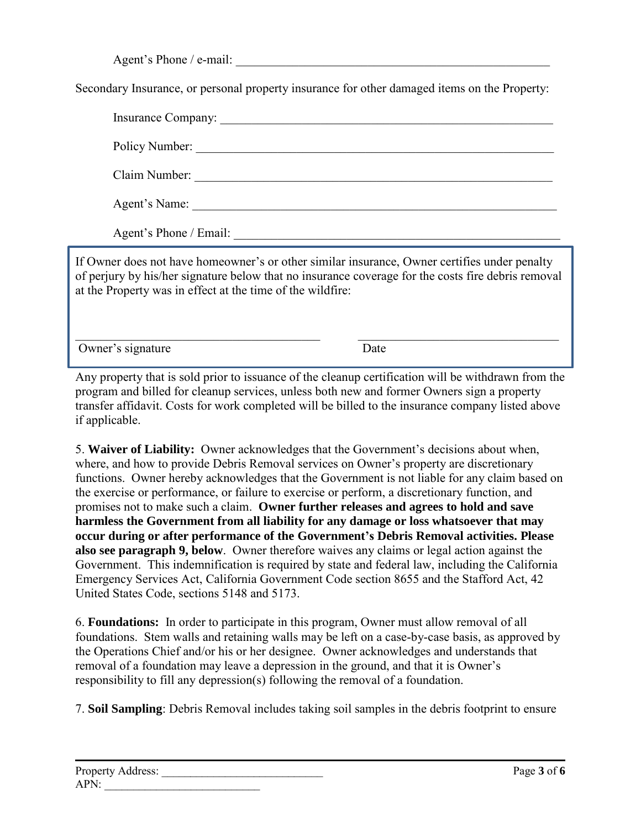Agent's Phone / e-mail:

Secondary Insurance, or personal property insurance for other damaged items on the Property:

|                        | Policy Number: |
|------------------------|----------------|
|                        | Claim Number:  |
|                        | Agent's Name:  |
| Agent's Phone / Email: |                |

If Owner does not have homeowner's or other similar insurance, Owner certifies under penalty of perjury by his/her signature below that no insurance coverage for the costs fire debris removal at the Property was in effect at the time of the wildfire:

 $\_$  , and the set of the set of the set of the set of the set of the set of the set of the set of the set of the set of the set of the set of the set of the set of the set of the set of the set of the set of the set of th Owner's signature Date

Any property that is sold prior to issuance of the cleanup certification will be withdrawn from the program and billed for cleanup services, unless both new and former Owners sign a property transfer affidavit. Costs for work completed will be billed to the insurance company listed above if applicable.

5. **Waiver of Liability:** Owner acknowledges that the Government's decisions about when, where, and how to provide Debris Removal services on Owner's property are discretionary functions. Owner hereby acknowledges that the Government is not liable for any claim based on the exercise or performance, or failure to exercise or perform, a discretionary function, and promises not to make such a claim. **Owner further releases and agrees to hold and save harmless the Government from all liability for any damage or loss whatsoever that may occur during or after performance of the Government's Debris Removal activities. Please also see paragraph 9, below**. Owner therefore waives any claims or legal action against the Government. This indemnification is required by state and federal law, including the California Emergency Services Act, California Government Code section 8655 and the Stafford Act, 42 United States Code, sections 5148 and 5173.

6. **Foundations:** In order to participate in this program, Owner must allow removal of all foundations. Stem walls and retaining walls may be left on a case-by-case basis, as approved by the Operations Chief and/or his or her designee. Owner acknowledges and understands that removal of a foundation may leave a depression in the ground, and that it is Owner's responsibility to fill any depression(s) following the removal of a foundation.

7. **Soil Sampling**: Debris Removal includes taking soil samples in the debris footprint to ensure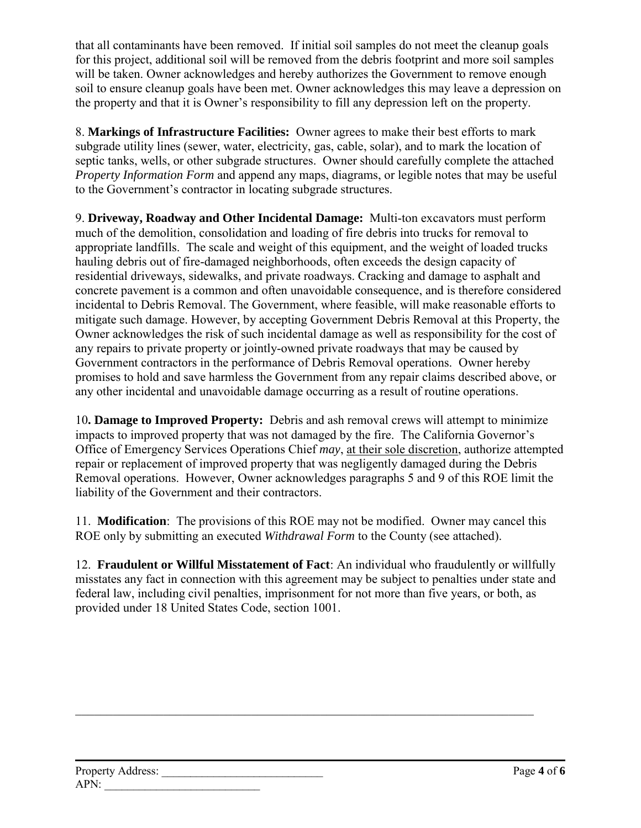that all contaminants have been removed. If initial soil samples do not meet the cleanup goals for this project, additional soil will be removed from the debris footprint and more soil samples will be taken. Owner acknowledges and hereby authorizes the Government to remove enough soil to ensure cleanup goals have been met. Owner acknowledges this may leave a depression on the property and that it is Owner's responsibility to fill any depression left on the property.

8. **Markings of Infrastructure Facilities:** Owner agrees to make their best efforts to mark subgrade utility lines (sewer, water, electricity, gas, cable, solar), and to mark the location of septic tanks, wells, or other subgrade structures. Owner should carefully complete the attached *Property Information Form* and append any maps, diagrams, or legible notes that may be useful to the Government's contractor in locating subgrade structures.

9. **Driveway, Roadway and Other Incidental Damage:** Multi-ton excavators must perform much of the demolition, consolidation and loading of fire debris into trucks for removal to appropriate landfills. The scale and weight of this equipment, and the weight of loaded trucks hauling debris out of fire-damaged neighborhoods, often exceeds the design capacity of residential driveways, sidewalks, and private roadways. Cracking and damage to asphalt and concrete pavement is a common and often unavoidable consequence, and is therefore considered incidental to Debris Removal. The Government, where feasible, will make reasonable efforts to mitigate such damage. However, by accepting Government Debris Removal at this Property, the Owner acknowledges the risk of such incidental damage as well as responsibility for the cost of any repairs to private property or jointly-owned private roadways that may be caused by Government contractors in the performance of Debris Removal operations. Owner hereby promises to hold and save harmless the Government from any repair claims described above, or any other incidental and unavoidable damage occurring as a result of routine operations.

10**. Damage to Improved Property:** Debris and ash removal crews will attempt to minimize impacts to improved property that was not damaged by the fire. The California Governor's Office of Emergency Services Operations Chief *may*, at their sole discretion, authorize attempted repair or replacement of improved property that was negligently damaged during the Debris Removal operations. However, Owner acknowledges paragraphs 5 and 9 of this ROE limit the liability of the Government and their contractors.

11. **Modification**: The provisions of this ROE may not be modified. Owner may cancel this ROE only by submitting an executed *Withdrawal Form* to the County (see attached).

12. **Fraudulent or Willful Misstatement of Fact**: An individual who fraudulently or willfully misstates any fact in connection with this agreement may be subject to penalties under state and federal law, including civil penalties, imprisonment for not more than five years, or both, as provided under 18 United States Code, section 1001.

\_\_\_\_\_\_\_\_\_\_\_\_\_\_\_\_\_\_\_\_\_\_\_\_\_\_\_\_\_\_\_\_\_\_\_\_\_\_\_\_\_\_\_\_\_\_\_\_\_\_\_\_\_\_\_\_\_\_\_\_\_\_\_\_\_\_\_\_\_\_\_\_\_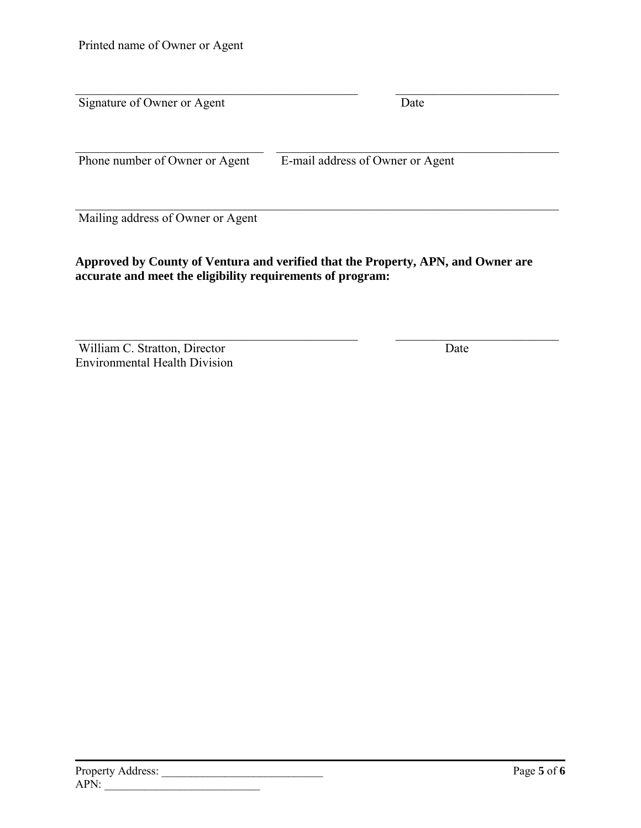| Signature of Owner or Agent       | Date                             |  |
|-----------------------------------|----------------------------------|--|
| Phone number of Owner or Agent    | E-mail address of Owner or Agent |  |
| Mailing address of Owner or Agent |                                  |  |

#### **Approved by County of Ventura and verified that the Property, APN, and Owner are accurate and meet the eligibility requirements of program:**

William C. Stratton, Director Environmental Health Division and the contract of the contract of the contract of the contract of the contract of the contract of the contract of the contract of the contract of the contract of the contract of the contract of the contract of the contra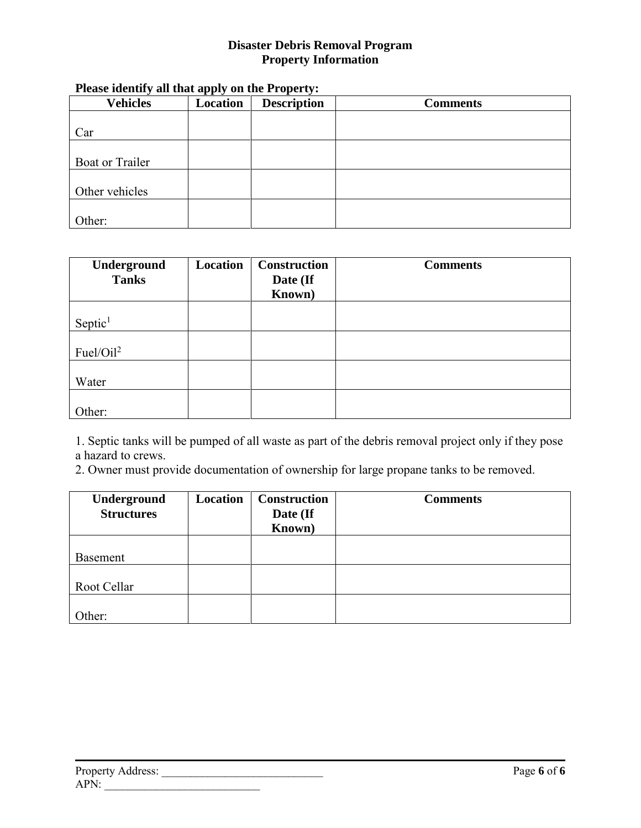#### **Disaster Debris Removal Program Property Information**

| <b>Vehicles</b> | $\cdots$<br>Location | <b>Description</b> | <b>Comments</b> |
|-----------------|----------------------|--------------------|-----------------|
|                 |                      |                    |                 |
| Car             |                      |                    |                 |
|                 |                      |                    |                 |
| Boat or Trailer |                      |                    |                 |
|                 |                      |                    |                 |
| Other vehicles  |                      |                    |                 |
|                 |                      |                    |                 |
| Other:          |                      |                    |                 |

#### **Please identify all that apply on the Property:**

| Underground<br><b>Tanks</b> | Location | <b>Construction</b><br>Date (If<br>Known) | <b>Comments</b> |
|-----------------------------|----------|-------------------------------------------|-----------------|
|                             |          |                                           |                 |
| Septic <sup>1</sup>         |          |                                           |                 |
| Fuel/Oil <sup>2</sup>       |          |                                           |                 |
|                             |          |                                           |                 |
| Water                       |          |                                           |                 |
|                             |          |                                           |                 |
| Other:                      |          |                                           |                 |

1. Septic tanks will be pumped of all waste as part of the debris removal project only if they pose a hazard to crews.

2. Owner must provide documentation of ownership for large propane tanks to be removed.

| Underground<br><b>Structures</b> | Location | <b>Construction</b><br>Date (If<br>Known) | <b>Comments</b> |
|----------------------------------|----------|-------------------------------------------|-----------------|
|                                  |          |                                           |                 |
| <b>Basement</b>                  |          |                                           |                 |
| Root Cellar                      |          |                                           |                 |
|                                  |          |                                           |                 |
| Other:                           |          |                                           |                 |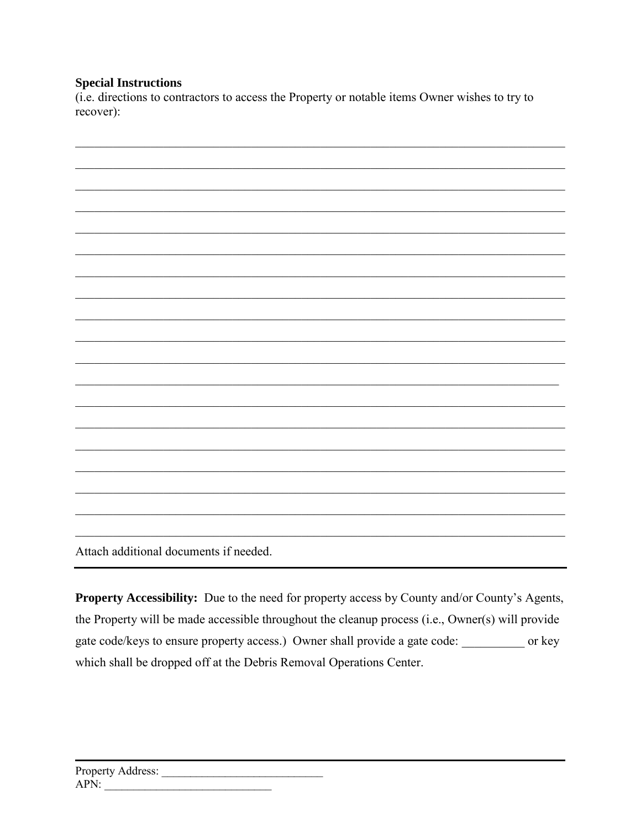#### **Special Instructions**

(i.e. directions to contractors to access the Property or notable items Owner wishes to try to recover):



Attach additional documents if needed.

**Property Accessibility:** Due to the need for property access by County and/or County's Agents, the Property will be made accessible throughout the cleanup process (i.e., Owner(s) will provide gate code/keys to ensure property access.) Owner shall provide a gate code: \_\_\_\_\_\_\_\_\_ or key which shall be dropped off at the Debris Removal Operations Center.